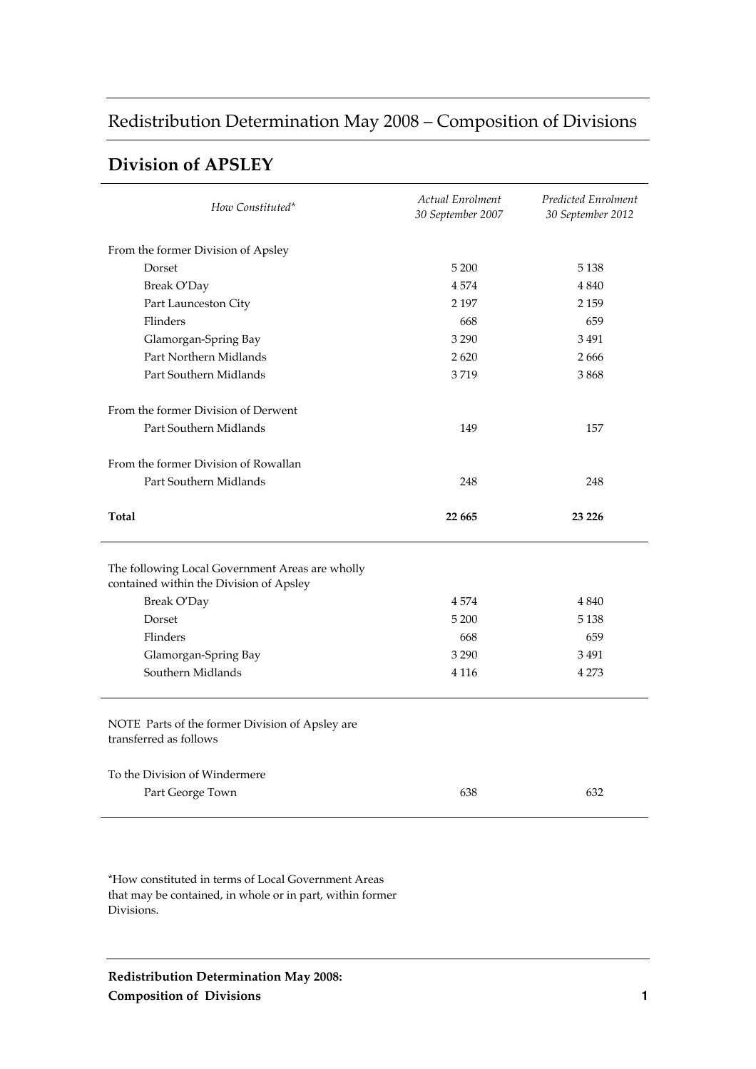# Redistribution Determination May 2008 – Composition of Divisions

### **Division of APSLEY**

| How Constituted*                                                                           | Actual Enrolment<br>30 September 2007 | Predicted Enrolment<br>30 September 2012 |
|--------------------------------------------------------------------------------------------|---------------------------------------|------------------------------------------|
| From the former Division of Apsley                                                         |                                       |                                          |
| Dorset                                                                                     | 5 200                                 | 5 1 3 8                                  |
| Break O'Day                                                                                | 4574                                  | 4 8 4 0                                  |
| Part Launceston City                                                                       | 2 1 9 7                               | 2 1 5 9                                  |
| Flinders                                                                                   | 668                                   | 659                                      |
| Glamorgan-Spring Bay                                                                       | 3 2 9 0                               | 3491                                     |
| Part Northern Midlands                                                                     | 2620                                  | 2666                                     |
| Part Southern Midlands                                                                     | 3719                                  | 3868                                     |
| From the former Division of Derwent                                                        |                                       |                                          |
| Part Southern Midlands                                                                     | 149                                   | 157                                      |
| From the former Division of Rowallan                                                       |                                       |                                          |
| Part Southern Midlands                                                                     | 248                                   | 248                                      |
| Total                                                                                      | 22 665                                | 23 226                                   |
| The following Local Government Areas are wholly<br>contained within the Division of Apsley |                                       |                                          |
| Break O'Day                                                                                | 4574                                  | 4 8 4 0                                  |
| Dorset                                                                                     | 5 200                                 | 5 1 3 8                                  |
| Flinders                                                                                   |                                       |                                          |
|                                                                                            | 668                                   | 659                                      |
| Glamorgan-Spring Bay                                                                       | 3 2 9 0                               | 3491                                     |
| Southern Midlands                                                                          | 4 1 1 6                               | 4 2 7 3                                  |
| NOTE Parts of the former Division of Apsley are<br>transferred as follows                  |                                       |                                          |
| To the Division of Windermere                                                              |                                       |                                          |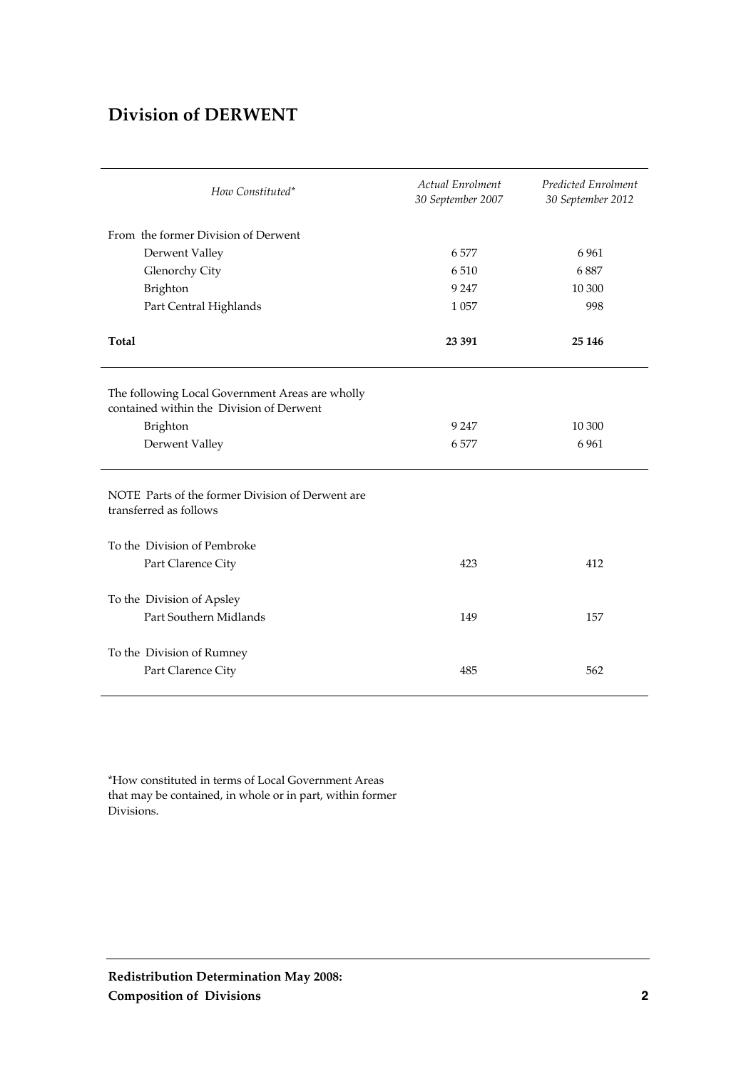### **Division of DERWENT**

| How Constituted*                                                                            | Actual Enrolment<br>30 September 2007 | Predicted Enrolment<br>30 September 2012 |
|---------------------------------------------------------------------------------------------|---------------------------------------|------------------------------------------|
| From the former Division of Derwent                                                         |                                       |                                          |
| Derwent Valley                                                                              | 6577                                  | 6961                                     |
| Glenorchy City                                                                              | 6510                                  | 6887                                     |
| Brighton                                                                                    | 9 2 4 7                               | 10 300                                   |
| Part Central Highlands                                                                      | 1 0 5 7                               | 998                                      |
| Total                                                                                       | 23 391                                | 25 146                                   |
| The following Local Government Areas are wholly<br>contained within the Division of Derwent |                                       |                                          |
| Brighton                                                                                    | 9 2 4 7                               | 10 300                                   |
| Derwent Valley                                                                              | 6577                                  | 6 9 6 1                                  |
| NOTE Parts of the former Division of Derwent are<br>transferred as follows                  |                                       |                                          |
| To the Division of Pembroke                                                                 |                                       |                                          |
| Part Clarence City                                                                          | 423                                   | 412                                      |
| To the Division of Apsley                                                                   |                                       |                                          |
| Part Southern Midlands                                                                      | 149                                   | 157                                      |
| To the Division of Rumney<br>Part Clarence City                                             | 485                                   | 562                                      |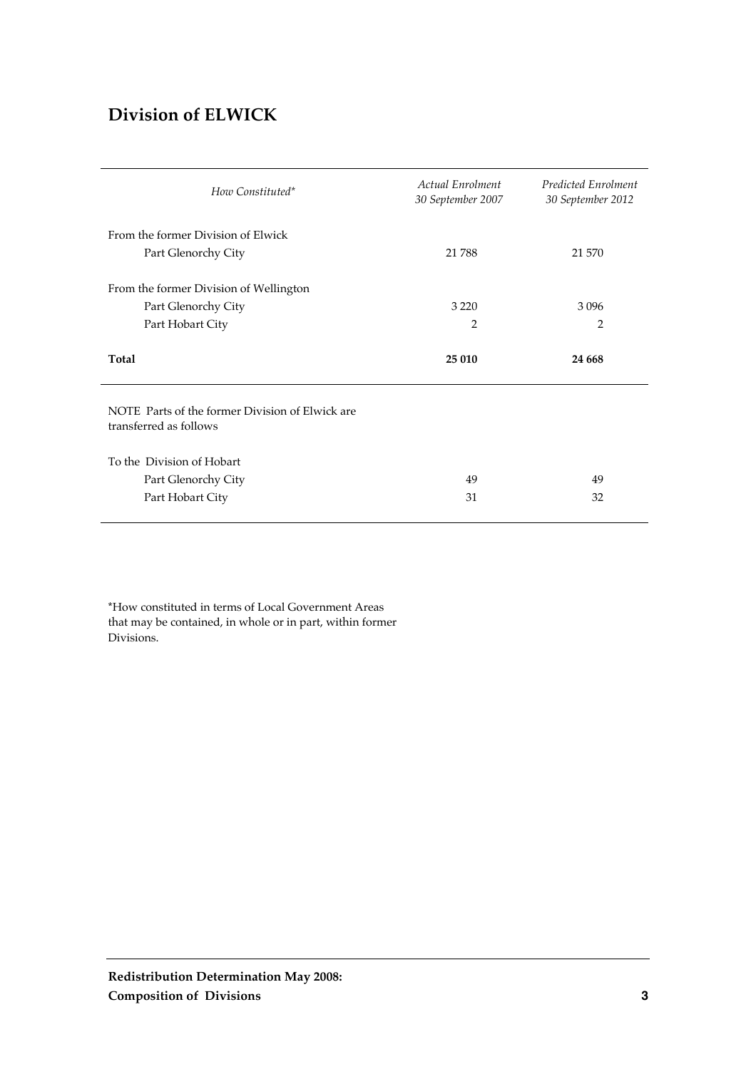### **Division of ELWICK**

| How Constituted*                                                          | Actual Enrolment<br>30 September 2007 | Predicted Enrolment<br>30 September 2012 |
|---------------------------------------------------------------------------|---------------------------------------|------------------------------------------|
| From the former Division of Elwick<br>Part Glenorchy City                 | 21 788                                | 21 570                                   |
| From the former Division of Wellington                                    |                                       |                                          |
| Part Glenorchy City                                                       | 3 2 2 0                               | 3096                                     |
| Part Hobart City                                                          | $\overline{2}$                        | 2                                        |
|                                                                           |                                       |                                          |
| Total                                                                     | 25 010                                | 24 6 6 8                                 |
| NOTE Parts of the former Division of Elwick are<br>transferred as follows |                                       |                                          |
| To the Division of Hobart                                                 |                                       |                                          |
| Part Glenorchy City                                                       | 49                                    | 49                                       |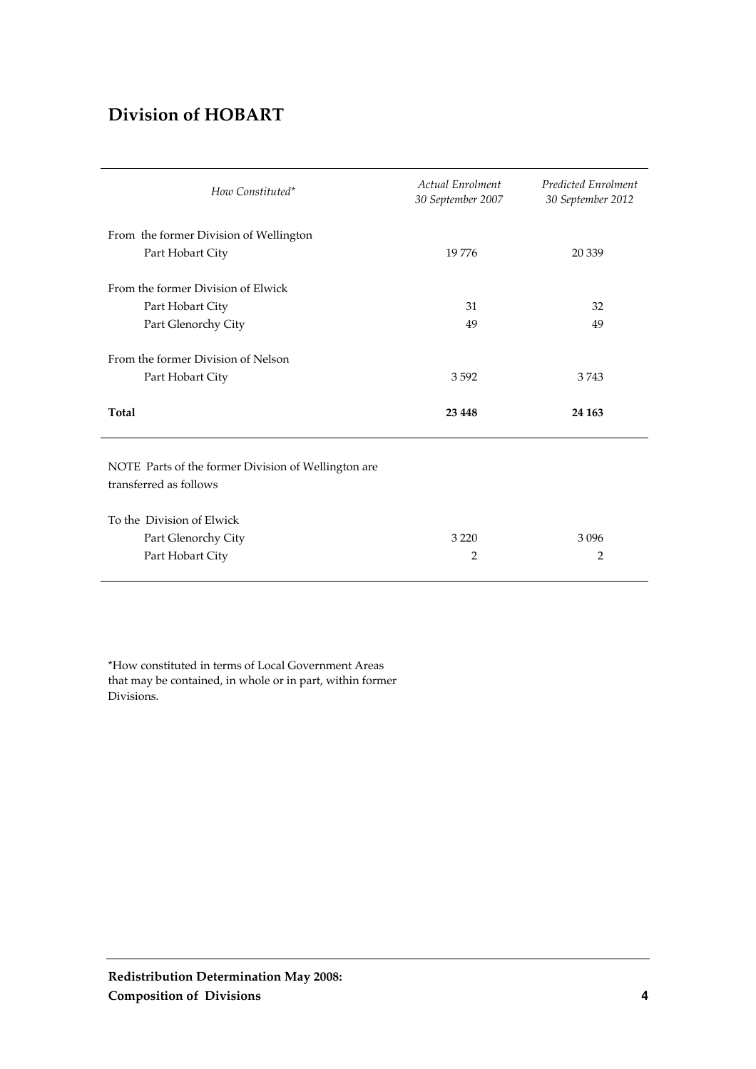### **Division of HOBART**

| How Constituted*                                                              | <b>Actual Enrolment</b><br>30 September 2007 | <b>Predicted Enrolment</b><br>30 September 2012 |
|-------------------------------------------------------------------------------|----------------------------------------------|-------------------------------------------------|
| From the former Division of Wellington                                        |                                              |                                                 |
| Part Hobart City                                                              | 19776                                        | 20 339                                          |
| From the former Division of Elwick                                            |                                              |                                                 |
| Part Hobart City                                                              | 31                                           | 32                                              |
| Part Glenorchy City                                                           | 49                                           | 49                                              |
| From the former Division of Nelson                                            |                                              |                                                 |
| Part Hobart City                                                              | 3592                                         | 3743                                            |
| Total                                                                         | 23 4 48                                      | 24 163                                          |
| NOTE Parts of the former Division of Wellington are<br>transferred as follows |                                              |                                                 |
| To the Division of Elwick                                                     |                                              |                                                 |
| Part Glenorchy City                                                           | 3 2 2 0                                      | 3096                                            |
| Part Hobart City                                                              | $\overline{2}$                               | $\overline{2}$                                  |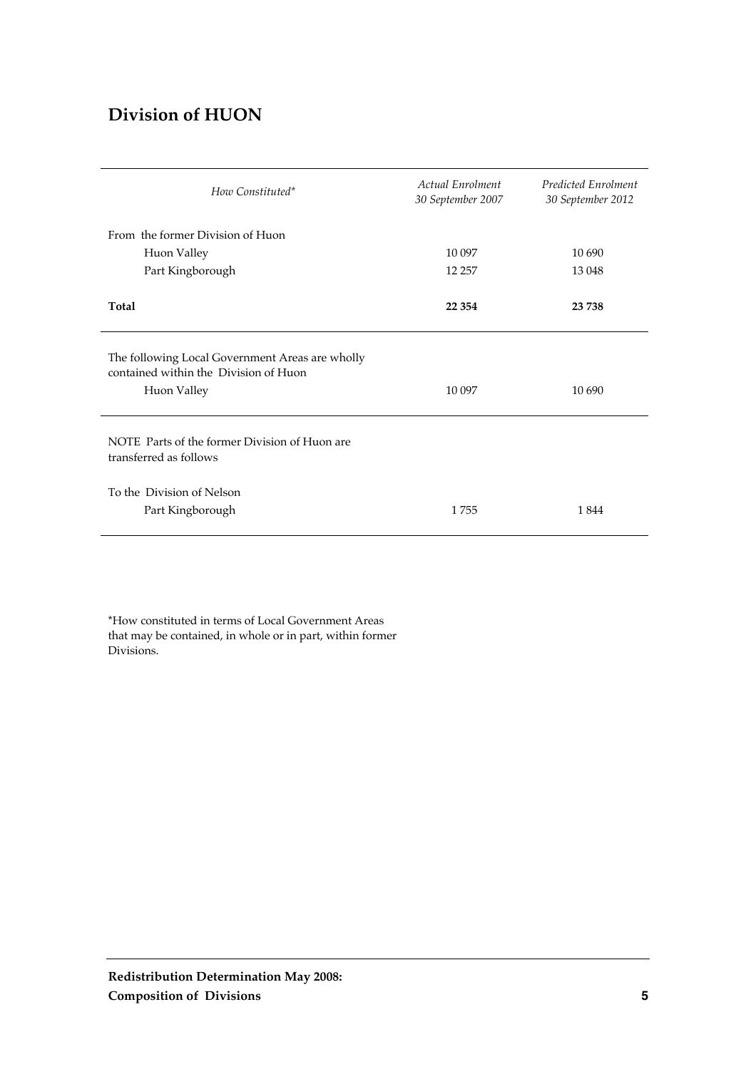### **Division of HUON**

| How Constituted*                                                                                        | Actual Enrolment<br>30 September 2007 | <b>Predicted Enrolment</b><br>30 September 2012 |
|---------------------------------------------------------------------------------------------------------|---------------------------------------|-------------------------------------------------|
| From the former Division of Huon                                                                        |                                       |                                                 |
| Huon Valley                                                                                             | 10 097                                | 10 690                                          |
| Part Kingborough                                                                                        | 12 257                                | 13 048                                          |
| Total                                                                                                   | 22 3 54                               | 23 738                                          |
| The following Local Government Areas are wholly<br>contained within the Division of Huon<br>Huon Valley | 10 097                                | 10 690                                          |
| NOTE Parts of the former Division of Huon are<br>transferred as follows                                 |                                       |                                                 |
| To the Division of Nelson<br>Part Kingborough                                                           | 1755                                  | 1844                                            |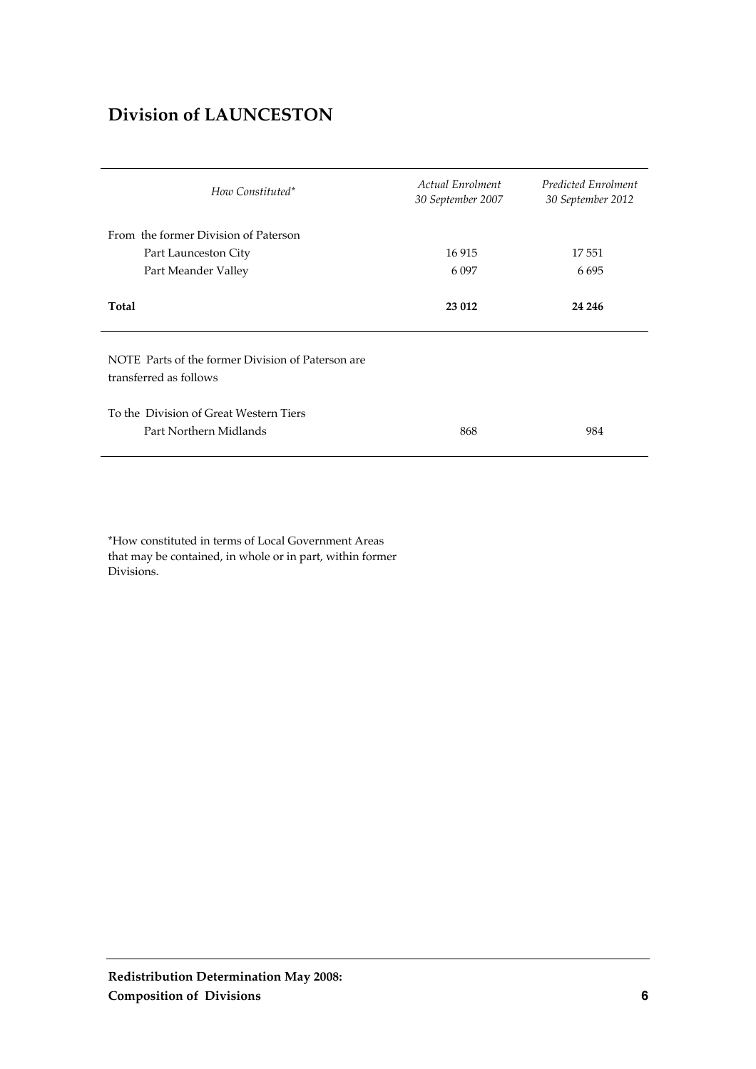### **Division of LAUNCESTON**

| How Constituted*                                                            | <b>Actual Enrolment</b><br>30 September 2007 | Predicted Enrolment<br>30 September 2012 |
|-----------------------------------------------------------------------------|----------------------------------------------|------------------------------------------|
| From the former Division of Paterson                                        |                                              |                                          |
| Part Launceston City                                                        | 16915                                        | 17 551                                   |
| Part Meander Valley                                                         | 6 0 9 7                                      | 6695                                     |
| Total                                                                       | 23 012                                       | 24 24 6                                  |
| NOTE Parts of the former Division of Paterson are<br>transferred as follows |                                              |                                          |
| To the Division of Great Western Tiers<br>Part Northern Midlands            | 868                                          | 984                                      |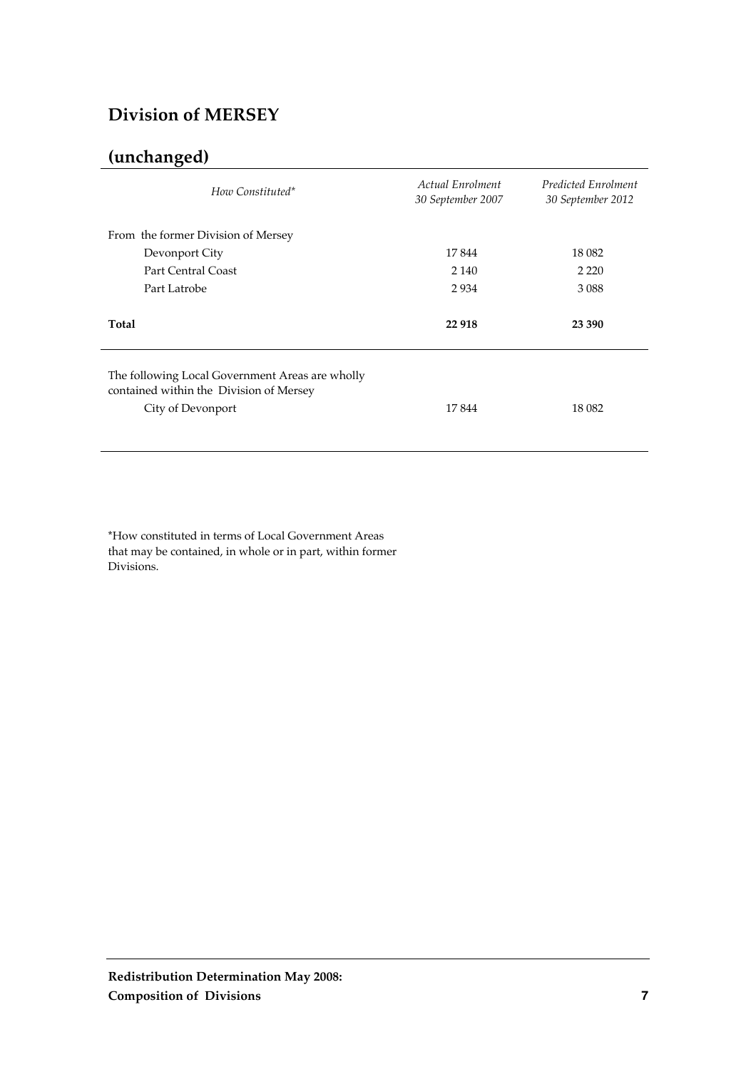### **Division of MERSEY**

# **(unchanged)**

| Actual Enrolment<br>30 September 2007 | Predicted Enrolment<br>30 September 2012 |
|---------------------------------------|------------------------------------------|
|                                       |                                          |
| 17844                                 | 18 0 82                                  |
| 2 1 4 0                               | 2 2 2 0                                  |
| 2934                                  | 3 0 8 8                                  |
| 22 918                                | 23 390                                   |
| 17844                                 | 18 0 82                                  |
|                                       |                                          |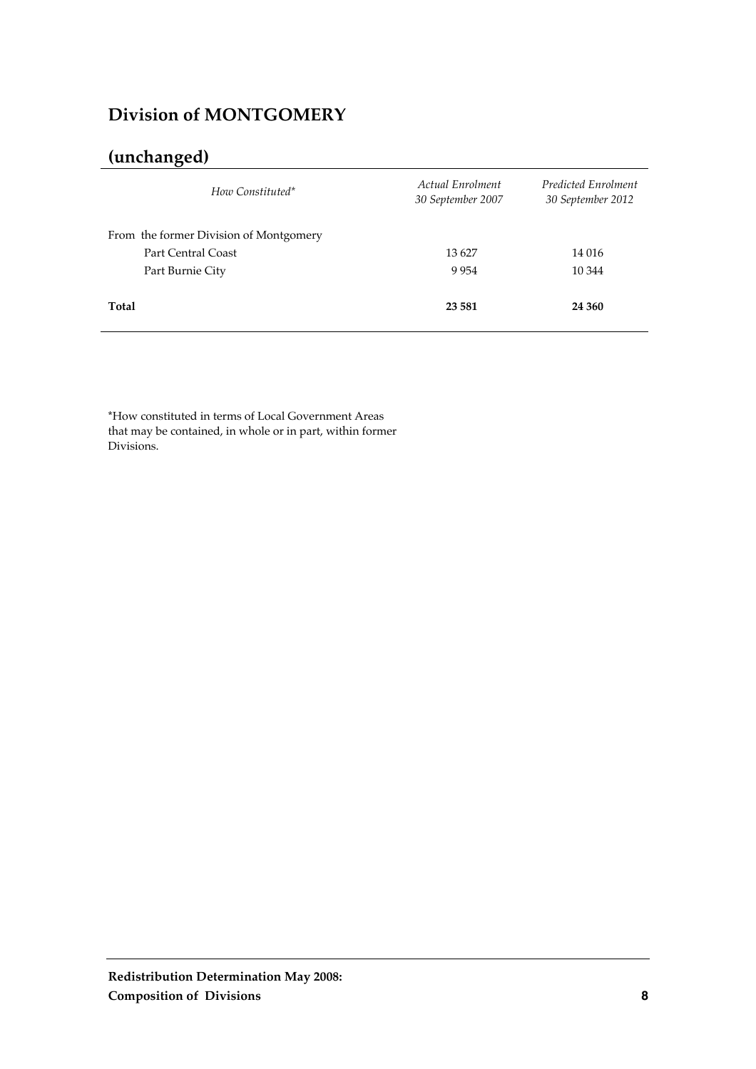### **Division of MONTGOMERY**

# **(unchanged)**

| How Constituted*                       | Actual Enrolment<br>30 September 2007 | Predicted Enrolment<br>30 September 2012 |
|----------------------------------------|---------------------------------------|------------------------------------------|
| From the former Division of Montgomery |                                       |                                          |
| Part Central Coast                     | 13627                                 | 14 016                                   |
| Part Burnie City                       | 9954                                  | 10 344                                   |
| Total                                  | 23 5 81                               | 24 360                                   |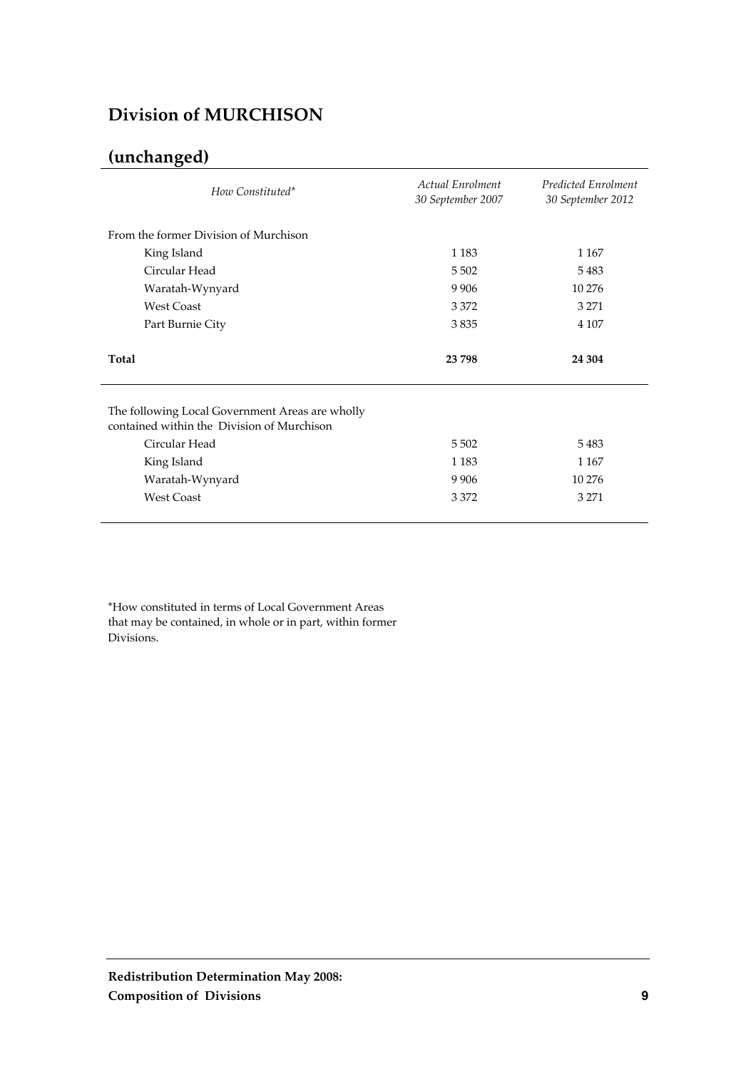### **Division of MURCHISON**

# **(unchanged)**

| How Constituted*                                                                                                                                                      | Actual Enrolment<br>30 September 2007 | Predicted Enrolment<br>30 September 2012 |
|-----------------------------------------------------------------------------------------------------------------------------------------------------------------------|---------------------------------------|------------------------------------------|
| From the former Division of Murchison                                                                                                                                 |                                       |                                          |
| King Island                                                                                                                                                           | 1 1 8 3                               | 1 1 6 7                                  |
| Circular Head                                                                                                                                                         | 5 5 0 2                               | 5483                                     |
| Waratah-Wynyard                                                                                                                                                       | 9 9 0 6                               | 10 276                                   |
| <b>West Coast</b>                                                                                                                                                     | 3 3 7 2                               | 3 2 7 1                                  |
| Part Burnie City                                                                                                                                                      | 3835                                  | 4 107                                    |
| Total                                                                                                                                                                 | 23 798                                | 24 304                                   |
| The following Local Government Areas are wholly<br>contained within the Division of Murchison<br>Circular Head<br>King Island<br>Waratah-Wynyard<br><b>West Coast</b> | 5 5 0 2<br>1 1 8 3<br>9906<br>3 3 7 2 | 5483<br>1 1 6 7<br>10 276<br>3 2 7 1     |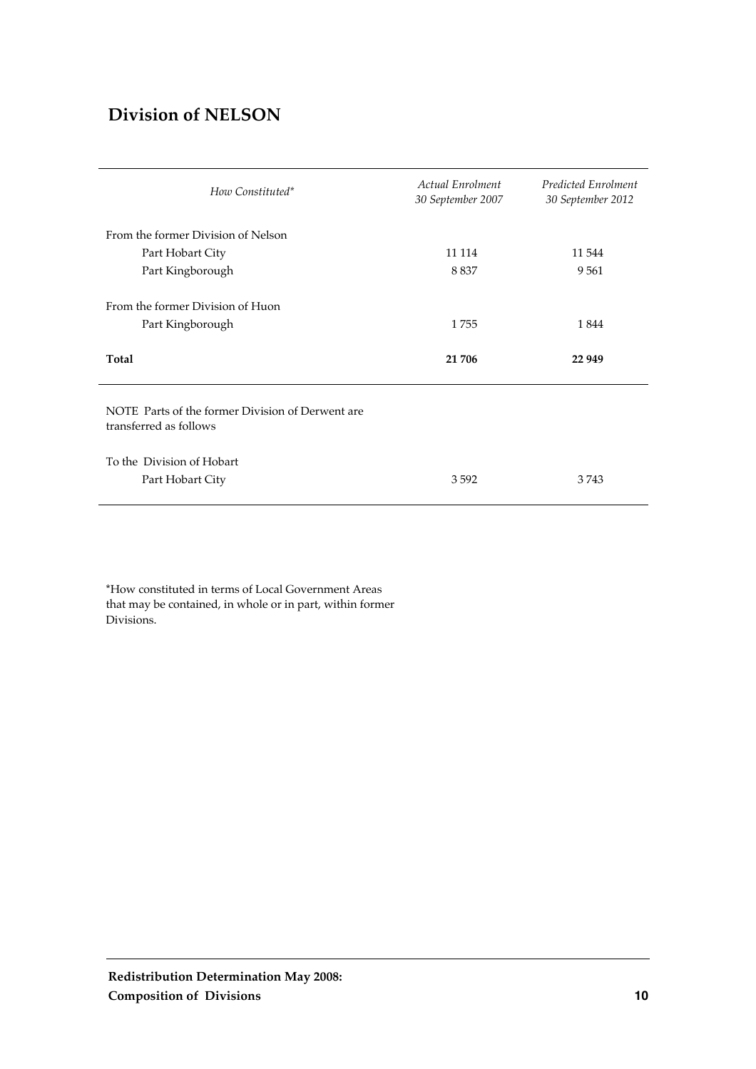### **Division of NELSON**

| Actual Enrolment<br>30 September 2007 | Predicted Enrolment<br>30 September 2012 |
|---------------------------------------|------------------------------------------|
|                                       |                                          |
| 11 114                                | 11 544                                   |
| 8837                                  | 9561                                     |
| 1755                                  | 1844                                     |
| 21 706                                | 22 949                                   |
|                                       |                                          |
|                                       |                                          |
|                                       |                                          |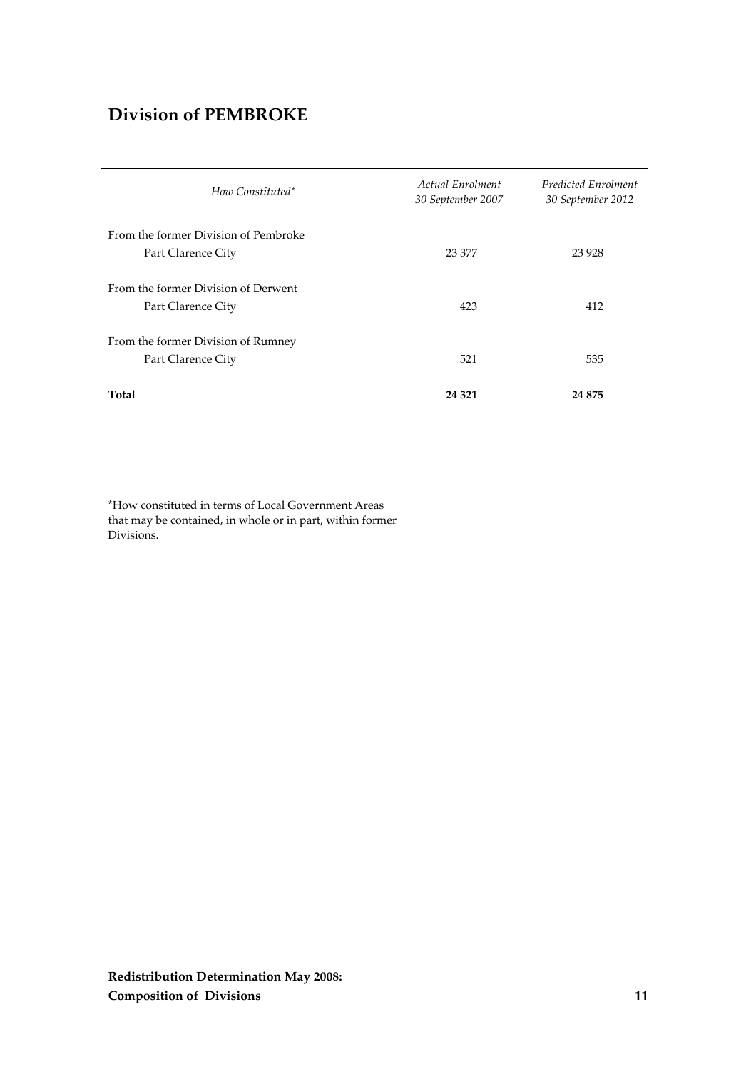### **Division of PEMBROKE**

| How Constituted*                                           | Actual Enrolment<br>30 September 2007 | Predicted Enrolment<br>30 September 2012 |
|------------------------------------------------------------|---------------------------------------|------------------------------------------|
| From the former Division of Pembroke<br>Part Clarence City | 23 377                                | 23 9 28                                  |
| From the former Division of Derwent<br>Part Clarence City  | 423                                   | 412                                      |
| From the former Division of Rumney<br>Part Clarence City   | 521                                   | 535                                      |
| Total                                                      | 24 3 21                               | 24 875                                   |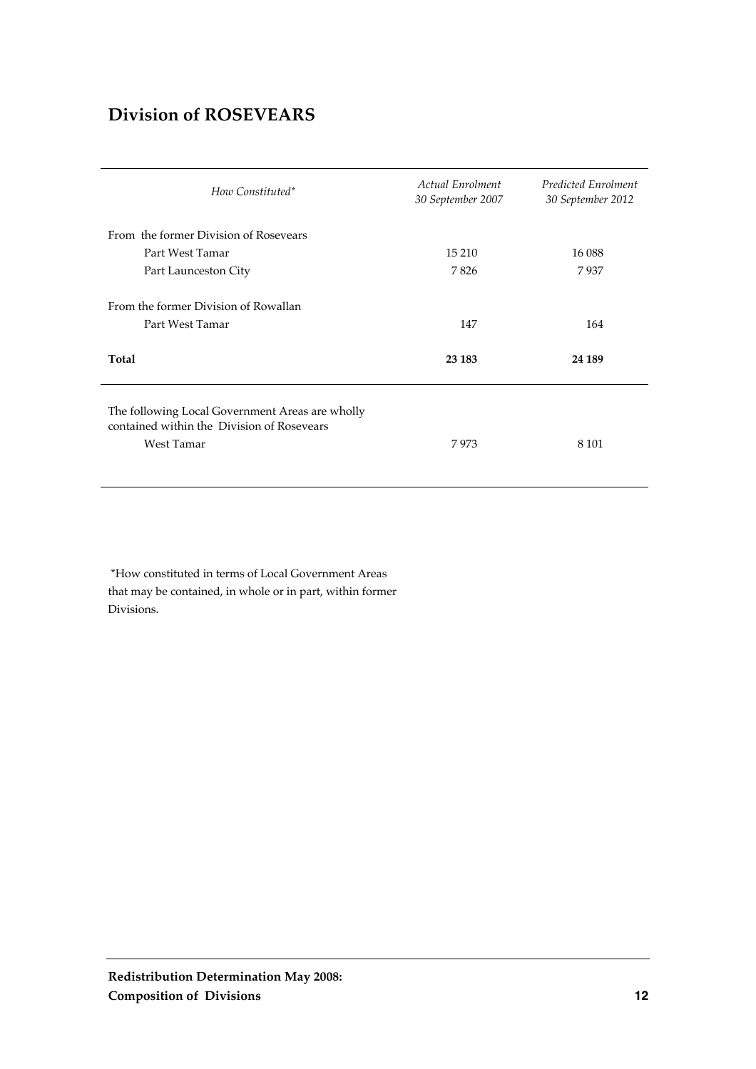### **Division of ROSEVEARS**

| How Constituted*                                                                                            | <b>Actual Enrolment</b><br>30 September 2007 | <b>Predicted Enrolment</b><br>30 September 2012 |
|-------------------------------------------------------------------------------------------------------------|----------------------------------------------|-------------------------------------------------|
| From the former Division of Rosevears                                                                       |                                              |                                                 |
| Part West Tamar                                                                                             | 15 210                                       | 16 088                                          |
| Part Launceston City                                                                                        | 7826                                         | 7937                                            |
| From the former Division of Rowallan<br>Part West Tamar                                                     | 147                                          | 164                                             |
| Total                                                                                                       | 23 183                                       | 24 189                                          |
| The following Local Government Areas are wholly<br>contained within the Division of Rosevears<br>West Tamar | 7973                                         | 8 1 0 1                                         |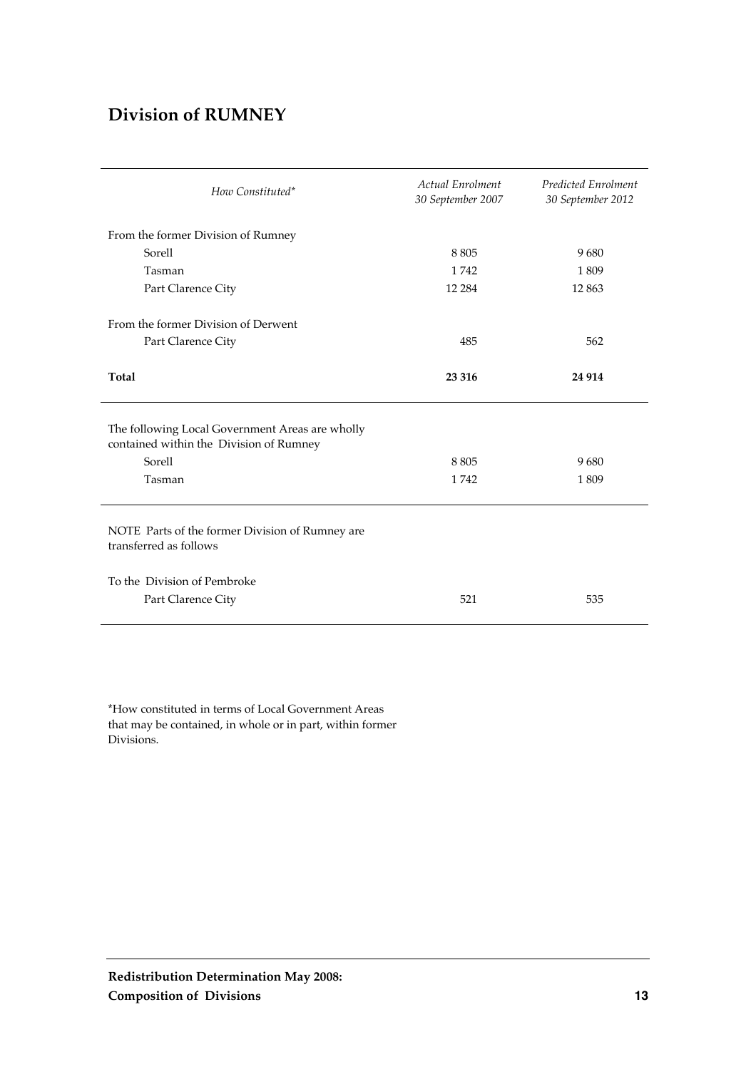### **Division of RUMNEY**

| How Constituted*                                                                           | <b>Actual Enrolment</b><br>30 September 2007 | <b>Predicted Enrolment</b><br>30 September 2012 |
|--------------------------------------------------------------------------------------------|----------------------------------------------|-------------------------------------------------|
| From the former Division of Rumney                                                         |                                              |                                                 |
| Sorell                                                                                     | 8805                                         | 9680                                            |
| Tasman                                                                                     | 1742                                         | 1809                                            |
| Part Clarence City                                                                         | 12 2 8 4                                     | 12 863                                          |
| From the former Division of Derwent                                                        |                                              |                                                 |
| Part Clarence City                                                                         | 485                                          | 562                                             |
| Total                                                                                      | 23 316                                       | 24 9 14                                         |
| The following Local Government Areas are wholly<br>contained within the Division of Rumney |                                              |                                                 |
| Sorell                                                                                     | 8805                                         | 9680                                            |
| Tasman                                                                                     | 1742                                         | 1809                                            |
| NOTE Parts of the former Division of Rumney are<br>transferred as follows                  |                                              |                                                 |
| To the Division of Pembroke                                                                |                                              |                                                 |
| Part Clarence City                                                                         | 521                                          | 535                                             |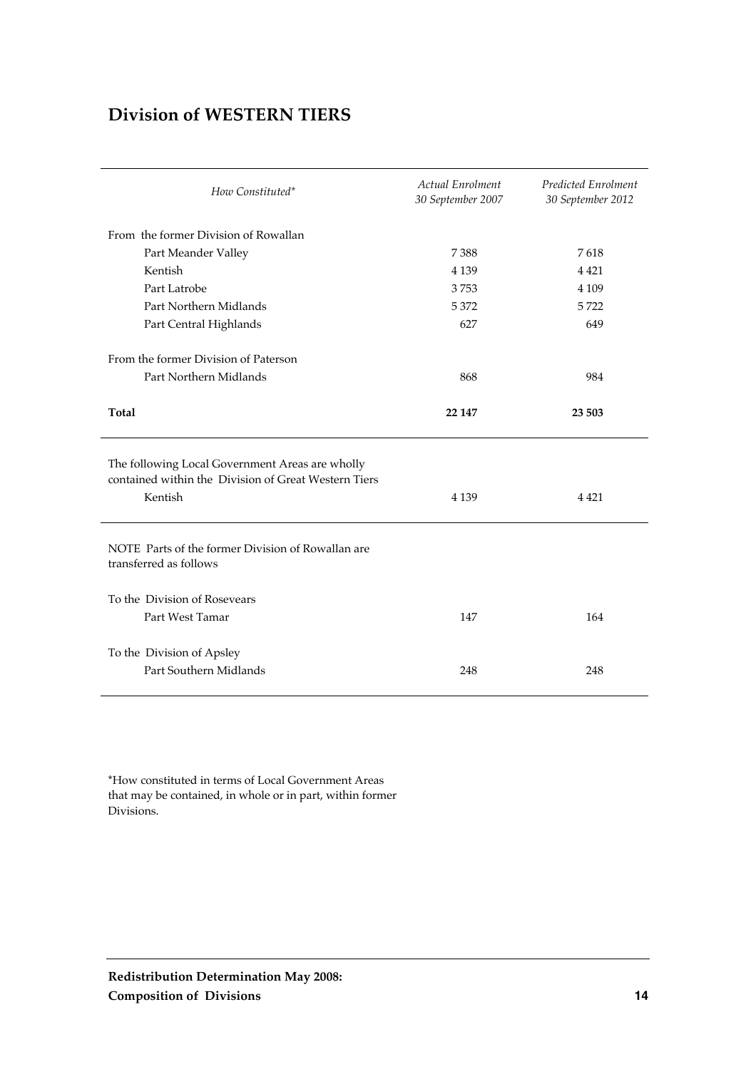### **Division of WESTERN TIERS**

| How Constituted*                                                                                                   | Actual Enrolment<br>30 September 2007 | Predicted Enrolment<br>30 September 2012 |
|--------------------------------------------------------------------------------------------------------------------|---------------------------------------|------------------------------------------|
| From the former Division of Rowallan                                                                               |                                       |                                          |
| Part Meander Valley                                                                                                | 7388                                  | 7618                                     |
| Kentish                                                                                                            | 4 1 3 9                               | 4 4 2 1                                  |
| Part Latrobe                                                                                                       | 3753                                  | 4 1 0 9                                  |
| Part Northern Midlands                                                                                             | 5372                                  | 5722                                     |
| Part Central Highlands                                                                                             | 627                                   | 649                                      |
| From the former Division of Paterson<br>Part Northern Midlands                                                     | 868                                   | 984                                      |
| Total                                                                                                              | 22 147                                | 23 503                                   |
| The following Local Government Areas are wholly<br>contained within the Division of Great Western Tiers<br>Kentish | 4 1 3 9                               | 4 4 2 1                                  |
| NOTE Parts of the former Division of Rowallan are<br>transferred as follows                                        |                                       |                                          |
| To the Division of Rosevears<br>Part West Tamar                                                                    | 147                                   | 164                                      |
| To the Division of Apsley<br>Part Southern Midlands                                                                | 248                                   | 248                                      |